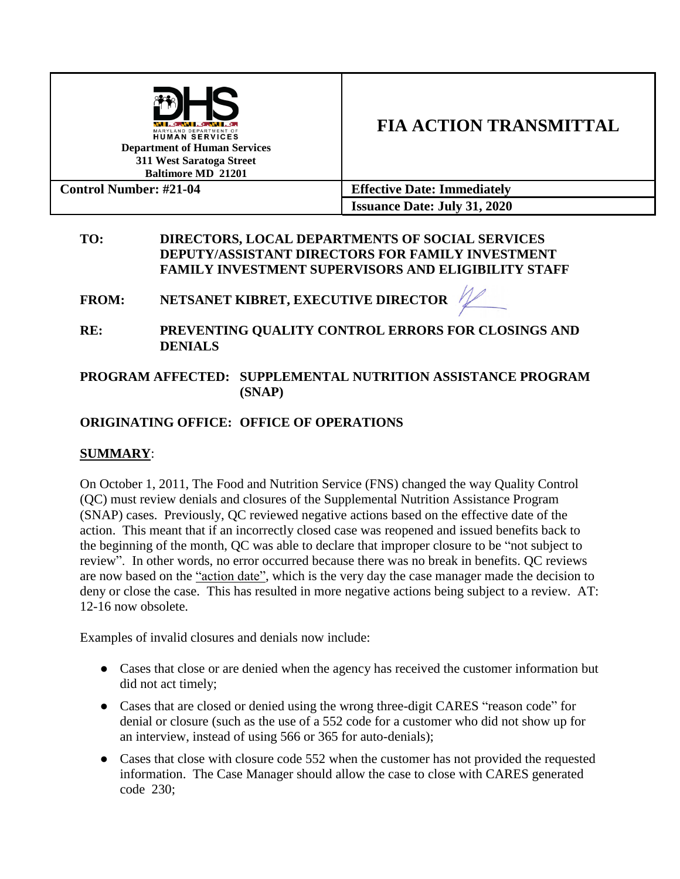| . С АКАН . С АКАН . С .<br>MARYLAND DEPARTMENT OF<br><b>HUMAN SERVICES</b><br><b>Department of Human Services</b><br>311 West Saratoga Street<br><b>Baltimore MD 21201</b> | <b>FIA ACTION TRANSMITTAL</b>       |
|----------------------------------------------------------------------------------------------------------------------------------------------------------------------------|-------------------------------------|
| <b>Control Number: #21-04</b>                                                                                                                                              | <b>Effective Date: Immediately</b>  |
|                                                                                                                                                                            | <b>Issuance Date: July 31, 2020</b> |

### **TO: DIRECTORS, LOCAL DEPARTMENTS OF SOCIAL SERVICES DEPUTY/ASSISTANT DIRECTORS FOR FAMILY INVESTMENT FAMILY INVESTMENT SUPERVISORS AND ELIGIBILITY STAFF**

**FROM: NETSANET KIBRET, EXECUTIVE DIRECTOR** 

**RE: PREVENTING QUALITY CONTROL ERRORS FOR CLOSINGS AND DENIALS**

## **PROGRAM AFFECTED: SUPPLEMENTAL NUTRITION ASSISTANCE PROGRAM (SNAP)**

# **ORIGINATING OFFICE: OFFICE OF OPERATIONS**

## **SUMMARY**:

On October 1, 2011, The Food and Nutrition Service (FNS) changed the way Quality Control (QC) must review denials and closures of the Supplemental Nutrition Assistance Program (SNAP) cases. Previously, QC reviewed negative actions based on the effective date of the action. This meant that if an incorrectly closed case was reopened and issued benefits back to the beginning of the month, QC was able to declare that improper closure to be "not subject to review". In other words, no error occurred because there was no break in benefits. QC reviews are now based on the "action date", which is the very day the case manager made the decision to deny or close the case. This has resulted in more negative actions being subject to a review. AT: 12-16 now obsolete.

Examples of invalid closures and denials now include:

- Cases that close or are denied when the agency has received the customer information but did not act timely;
- Cases that are closed or denied using the wrong three-digit CARES "reason code" for denial or closure (such as the use of a 552 code for a customer who did not show up for an interview, instead of using 566 or 365 for auto-denials);
- Cases that close with closure code 552 when the customer has not provided the requested information. The Case Manager should allow the case to close with CARES generated code 230;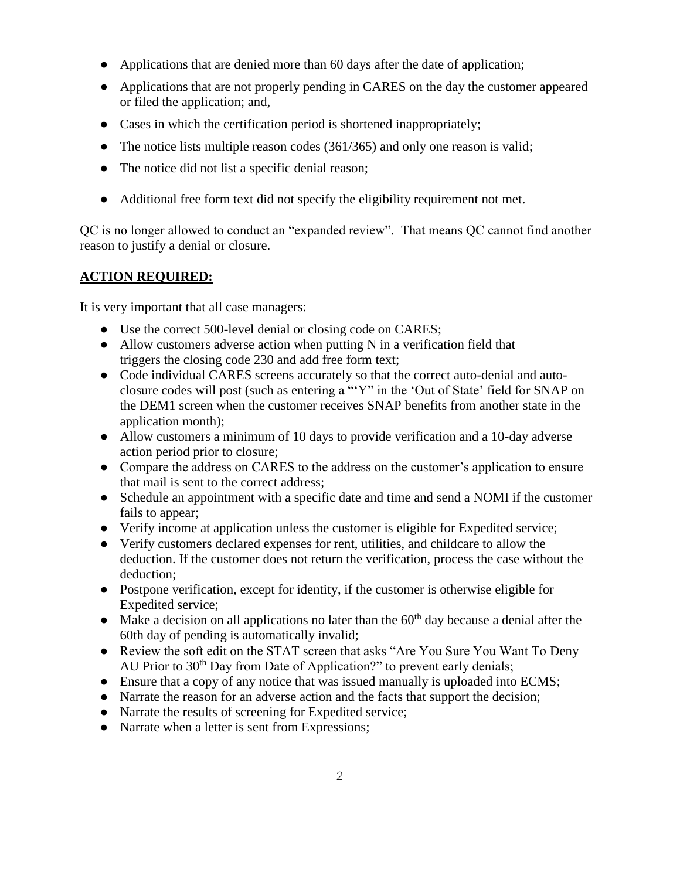- Applications that are denied more than 60 days after the date of application;
- Applications that are not properly pending in CARES on the day the customer appeared or filed the application; and,
- Cases in which the certification period is shortened inappropriately;
- The notice lists multiple reason codes (361/365) and only one reason is valid;
- The notice did not list a specific denial reason;
- Additional free form text did not specify the eligibility requirement not met.

QC is no longer allowed to conduct an "expanded review". That means QC cannot find another reason to justify a denial or closure.

## **ACTION REQUIRED:**

It is very important that all case managers:

- Use the correct 500-level denial or closing code on CARES;
- Allow customers adverse action when putting N in a verification field that triggers the closing code 230 and add free form text;
- Code individual CARES screens accurately so that the correct auto-denial and autoclosure codes will post (such as entering a "'Y" in the 'Out of State' field for SNAP on the DEM1 screen when the customer receives SNAP benefits from another state in the application month);
- Allow customers a minimum of 10 days to provide verification and a 10-day adverse action period prior to closure;
- Compare the address on CARES to the address on the customer's application to ensure that mail is sent to the correct address;
- Schedule an appointment with a specific date and time and send a NOMI if the customer fails to appear;
- Verify income at application unless the customer is eligible for Expedited service;
- Verify customers declared expenses for rent, utilities, and childcare to allow the deduction. If the customer does not return the verification, process the case without the deduction;
- Postpone verification, except for identity, if the customer is otherwise eligible for Expedited service;
- $\bullet$  Make a decision on all applications no later than the 60<sup>th</sup> day because a denial after the 60th day of pending is automatically invalid;
- Review the soft edit on the STAT screen that asks "Are You Sure You Want To Deny AU Prior to  $30<sup>th</sup>$  Day from Date of Application?" to prevent early denials;
- Ensure that a copy of any notice that was issued manually is uploaded into ECMS;
- Narrate the reason for an adverse action and the facts that support the decision;
- Narrate the results of screening for Expedited service;
- Narrate when a letter is sent from Expressions;